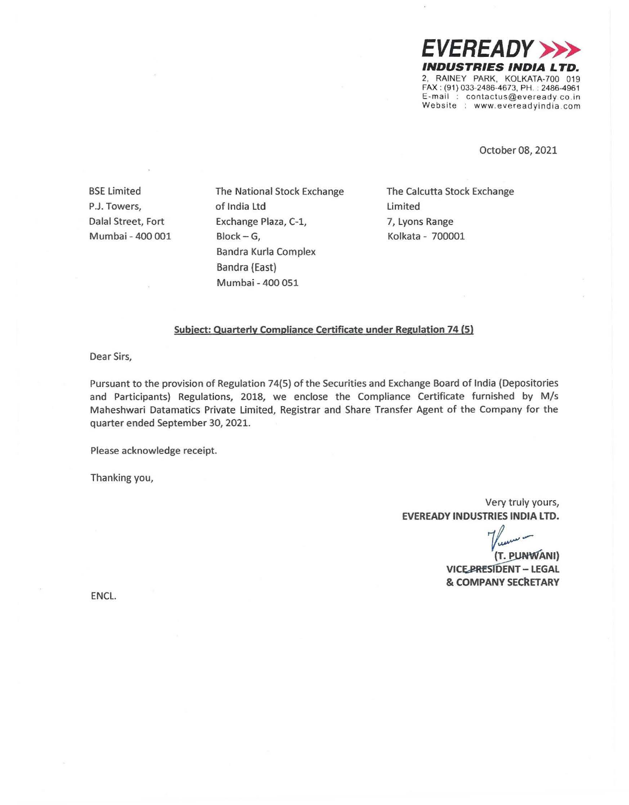*EVEREADY >>>*  **INDUSTRIES INDIA LTD.**  2, RAINEY PARK, KOLKATA-700 019 FAX : (91) 033-2486-4673, PH. : 2486-4961 E-mail : contactus@eveready.co .in Website : www.evereadyindia.com

October 08, 2021

BSE Limited P.J. Towers, Dalal Street, Fort Mumbai - 400 001 The National Stock Exchange of India Ltd Exchange Plaza, C-1, Block-G, Bandra Kurla Complex Bandra {East} Mumbai - 400 051

The Calcutta Stock Exchange Limited 7, Lyons Range Kolkata - 700001

## **Subject: Quarterly Compliance Certificate under Regulation 74 (5)**

Dear Sirs,

Pursuant to the provision of Regulation 74(5) of the Securities and Exchange Board of India (Depositories and Participants) Regulations, 2018, we enclose the Compliance Certificate furnished by M/s Maheshwari Datamatics Private Limited, Registrar and Share Transfer Agent of the Company for the quarter ended September 30, 2021.

Please acknowledge receipt.

Thanking you,

Very truly yours, **EVEREADY INDUSTRIES INDIA LTD.** 

*1~-* . **(T. \_euHWANI)** 

**VICE-PRESIDENT - LEGAL** & **COMPANY SECkETARY** 

ENCL.